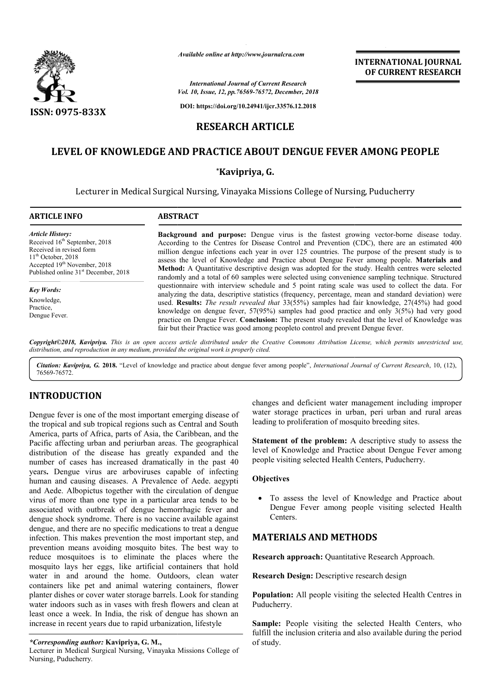

*Available online at http://www.journalcra.com*

# **RESEARCH ARTICLE**

# **LEVEL OF KNOWLEDGE AND PRACTICE ABOUT DENGUE FEVER AMONG PEOPLE**

# **\*Kavipriya, G.**

|                                                                                                                                                                                                                                                                                                                                                                                                                                                                                                                                                                                                                                                                                                                                                                                                                                                                                                                                                                                                                                                                                                                                                                                                                                                           | атишные опине иг пир.// www.journaicra.com                                                                                                                                                                                                                                                                                                                                                                                                                                                                                                                                                                                                                                                                                                                                                                                                                                                                                                                                                                                                                                                                                                                                                                 | <b>International Journal of Current Research</b>                                                                                                                                                                       | <b>INTERNATIONAL JOURNAL</b><br>OF CURRENT RESEARCH                                                                                                                                                                                                                                                                                                                                                                                                                                                     |
|-----------------------------------------------------------------------------------------------------------------------------------------------------------------------------------------------------------------------------------------------------------------------------------------------------------------------------------------------------------------------------------------------------------------------------------------------------------------------------------------------------------------------------------------------------------------------------------------------------------------------------------------------------------------------------------------------------------------------------------------------------------------------------------------------------------------------------------------------------------------------------------------------------------------------------------------------------------------------------------------------------------------------------------------------------------------------------------------------------------------------------------------------------------------------------------------------------------------------------------------------------------|------------------------------------------------------------------------------------------------------------------------------------------------------------------------------------------------------------------------------------------------------------------------------------------------------------------------------------------------------------------------------------------------------------------------------------------------------------------------------------------------------------------------------------------------------------------------------------------------------------------------------------------------------------------------------------------------------------------------------------------------------------------------------------------------------------------------------------------------------------------------------------------------------------------------------------------------------------------------------------------------------------------------------------------------------------------------------------------------------------------------------------------------------------------------------------------------------------|------------------------------------------------------------------------------------------------------------------------------------------------------------------------------------------------------------------------|---------------------------------------------------------------------------------------------------------------------------------------------------------------------------------------------------------------------------------------------------------------------------------------------------------------------------------------------------------------------------------------------------------------------------------------------------------------------------------------------------------|
|                                                                                                                                                                                                                                                                                                                                                                                                                                                                                                                                                                                                                                                                                                                                                                                                                                                                                                                                                                                                                                                                                                                                                                                                                                                           | Vol. 10, Issue, 12, pp. 76569-76572, December, 2018                                                                                                                                                                                                                                                                                                                                                                                                                                                                                                                                                                                                                                                                                                                                                                                                                                                                                                                                                                                                                                                                                                                                                        |                                                                                                                                                                                                                        |                                                                                                                                                                                                                                                                                                                                                                                                                                                                                                         |
| <b>ISSN: 0975-833X</b>                                                                                                                                                                                                                                                                                                                                                                                                                                                                                                                                                                                                                                                                                                                                                                                                                                                                                                                                                                                                                                                                                                                                                                                                                                    |                                                                                                                                                                                                                                                                                                                                                                                                                                                                                                                                                                                                                                                                                                                                                                                                                                                                                                                                                                                                                                                                                                                                                                                                            | DOI: https://doi.org/10.24941/ijcr.33576.12.2018                                                                                                                                                                       |                                                                                                                                                                                                                                                                                                                                                                                                                                                                                                         |
|                                                                                                                                                                                                                                                                                                                                                                                                                                                                                                                                                                                                                                                                                                                                                                                                                                                                                                                                                                                                                                                                                                                                                                                                                                                           | <b>RESEARCH ARTICLE</b>                                                                                                                                                                                                                                                                                                                                                                                                                                                                                                                                                                                                                                                                                                                                                                                                                                                                                                                                                                                                                                                                                                                                                                                    |                                                                                                                                                                                                                        |                                                                                                                                                                                                                                                                                                                                                                                                                                                                                                         |
|                                                                                                                                                                                                                                                                                                                                                                                                                                                                                                                                                                                                                                                                                                                                                                                                                                                                                                                                                                                                                                                                                                                                                                                                                                                           | LEVEL OF KNOWLEDGE AND PRACTICE ABOUT DENGUE FEVER AMONG PEOPLE                                                                                                                                                                                                                                                                                                                                                                                                                                                                                                                                                                                                                                                                                                                                                                                                                                                                                                                                                                                                                                                                                                                                            |                                                                                                                                                                                                                        |                                                                                                                                                                                                                                                                                                                                                                                                                                                                                                         |
|                                                                                                                                                                                                                                                                                                                                                                                                                                                                                                                                                                                                                                                                                                                                                                                                                                                                                                                                                                                                                                                                                                                                                                                                                                                           | *Kavipriya, G.                                                                                                                                                                                                                                                                                                                                                                                                                                                                                                                                                                                                                                                                                                                                                                                                                                                                                                                                                                                                                                                                                                                                                                                             |                                                                                                                                                                                                                        |                                                                                                                                                                                                                                                                                                                                                                                                                                                                                                         |
|                                                                                                                                                                                                                                                                                                                                                                                                                                                                                                                                                                                                                                                                                                                                                                                                                                                                                                                                                                                                                                                                                                                                                                                                                                                           | Lecturer in Medical Surgical Nursing, Vinayaka Missions College of Nursing, Puducherry                                                                                                                                                                                                                                                                                                                                                                                                                                                                                                                                                                                                                                                                                                                                                                                                                                                                                                                                                                                                                                                                                                                     |                                                                                                                                                                                                                        |                                                                                                                                                                                                                                                                                                                                                                                                                                                                                                         |
| <b>ARTICLE INFO</b>                                                                                                                                                                                                                                                                                                                                                                                                                                                                                                                                                                                                                                                                                                                                                                                                                                                                                                                                                                                                                                                                                                                                                                                                                                       | <b>ABSTRACT</b>                                                                                                                                                                                                                                                                                                                                                                                                                                                                                                                                                                                                                                                                                                                                                                                                                                                                                                                                                                                                                                                                                                                                                                                            |                                                                                                                                                                                                                        |                                                                                                                                                                                                                                                                                                                                                                                                                                                                                                         |
| <b>Article History:</b><br>Received 16 <sup>th</sup> September, 2018<br>Received in revised form<br>$11th$ October, 2018<br>Accepted 19 <sup>th</sup> November, 2018<br>Published online 31 <sup>st</sup> December, 2018                                                                                                                                                                                                                                                                                                                                                                                                                                                                                                                                                                                                                                                                                                                                                                                                                                                                                                                                                                                                                                  | Background and purpose: Dengue virus is the fastest growing vector-borne disease today.<br>According to the Centres for Disease Control and Prevention (CDC), there are an estimated 400<br>million dengue infections each year in over 125 countries. The purpose of the present study is to<br>assess the level of Knowledge and Practice about Dengue Fever among people. Materials and<br>Method: A Quantitative descriptive design was adopted for the study. Health centres were selected<br>randomly and a total of 60 samples were selected using convenience sampling technique. Structured<br>questionnaire with interview schedule and 5 point rating scale was used to collect the data. For<br>analyzing the data, descriptive statistics (frequency, percentage, mean and standard deviation) were<br>used. Results: The result revealed that 33(55%) samples had fair knowledge, 27(45%) had good<br>knowledge on dengue fever, $57(95%)$ samples had good practice and only $3(5%)$ had very good<br>practice on Dengue Fever. Conclusion: The present study revealed that the level of Knowledge was<br>fair but their Practice was good among peopleto control and prevent Dengue fever. |                                                                                                                                                                                                                        |                                                                                                                                                                                                                                                                                                                                                                                                                                                                                                         |
| <b>Key Words:</b><br>Knowledge,<br>Practice,<br>Dengue Fever.                                                                                                                                                                                                                                                                                                                                                                                                                                                                                                                                                                                                                                                                                                                                                                                                                                                                                                                                                                                                                                                                                                                                                                                             |                                                                                                                                                                                                                                                                                                                                                                                                                                                                                                                                                                                                                                                                                                                                                                                                                                                                                                                                                                                                                                                                                                                                                                                                            |                                                                                                                                                                                                                        |                                                                                                                                                                                                                                                                                                                                                                                                                                                                                                         |
| distribution, and reproduction in any medium, provided the original work is properly cited.                                                                                                                                                                                                                                                                                                                                                                                                                                                                                                                                                                                                                                                                                                                                                                                                                                                                                                                                                                                                                                                                                                                                                               |                                                                                                                                                                                                                                                                                                                                                                                                                                                                                                                                                                                                                                                                                                                                                                                                                                                                                                                                                                                                                                                                                                                                                                                                            |                                                                                                                                                                                                                        | Copyright©2018, Kavipriya. This is an open access article distributed under the Creative Commons Attribution License, which permits unrestricted use,                                                                                                                                                                                                                                                                                                                                                   |
| 76569-76572.                                                                                                                                                                                                                                                                                                                                                                                                                                                                                                                                                                                                                                                                                                                                                                                                                                                                                                                                                                                                                                                                                                                                                                                                                                              |                                                                                                                                                                                                                                                                                                                                                                                                                                                                                                                                                                                                                                                                                                                                                                                                                                                                                                                                                                                                                                                                                                                                                                                                            |                                                                                                                                                                                                                        | Citation: Kavipriya, G. 2018. "Level of knowledge and practice about dengue fever among people", International Journal of Current Research, 10, (12),                                                                                                                                                                                                                                                                                                                                                   |
| <b>INTRODUCTION</b><br>Dengue fever is one of the most important emerging disease of<br>the tropical and sub tropical regions such as Central and South<br>America, parts of Africa, parts of Asia, the Caribbean, and the<br>Pacific affecting urban and periurban areas. The geographical<br>distribution of the disease has greatly expanded and the<br>number of cases has increased dramatically in the past 40<br>years. Dengue virus are arboviruses capable of infecting<br>human and causing diseases. A Prevalence of Aede. aegypti<br>and Aede. Albopictus together with the circulation of dengue<br>virus of more than one type in a particular area tends to be<br>associated with outbreak of dengue hemorrhagic fever and<br>dengue shock syndrome. There is no vaccine available against<br>dengue, and there are no specific medications to treat a dengue<br>infection. This makes prevention the most important step, and<br>prevention means avoiding mosquito bites. The best way to<br>reduce mosquitoes is to eliminate the places where the<br>mosquito lays her eggs, like artificial containers that hold<br>water in and around the home. Outdoors, clean water<br>containers like pet and animal watering containers, flower |                                                                                                                                                                                                                                                                                                                                                                                                                                                                                                                                                                                                                                                                                                                                                                                                                                                                                                                                                                                                                                                                                                                                                                                                            | leading to proliferation of mosquito breeding sites.<br>people visiting selected Health Centers, Puducherry.<br>Objectives<br>Centers.<br><b>MATERIALS AND METHODS</b><br>Research Design: Descriptive research design | changes and deficient water management including improper<br>water storage practices in urban, peri urban and rural areas<br><b>Statement of the problem:</b> A descriptive study to assess the<br>level of Knowledge and Practice about Dengue Fever among<br>To assess the level of Knowledge and Practice about<br>Dengue Fever among people visiting selected Health<br>Research approach: Quantitative Research Approach.<br><b>Population:</b> All people visiting the selected Health Centres in |
| planter dishes or cover water storage barrels. Look for standing<br>water indoors such as in vases with fresh flowers and clean at<br>least once a week. In India, the risk of dengue has shown an<br>increase in recent years due to rapid urbanization, lifestyle                                                                                                                                                                                                                                                                                                                                                                                                                                                                                                                                                                                                                                                                                                                                                                                                                                                                                                                                                                                       |                                                                                                                                                                                                                                                                                                                                                                                                                                                                                                                                                                                                                                                                                                                                                                                                                                                                                                                                                                                                                                                                                                                                                                                                            | Puducherry.                                                                                                                                                                                                            | Sample: People visiting the selected Health Centers, who<br>fulfill the inclusion criteria and also available during the period                                                                                                                                                                                                                                                                                                                                                                         |

# **INTRODUCTION**

## **Objectives**

# **MATERIALS AND METHODS METHODS**

Sample: People visiting the selected Health Centers, who fulfill the inclusion criteria and also available during the period of study.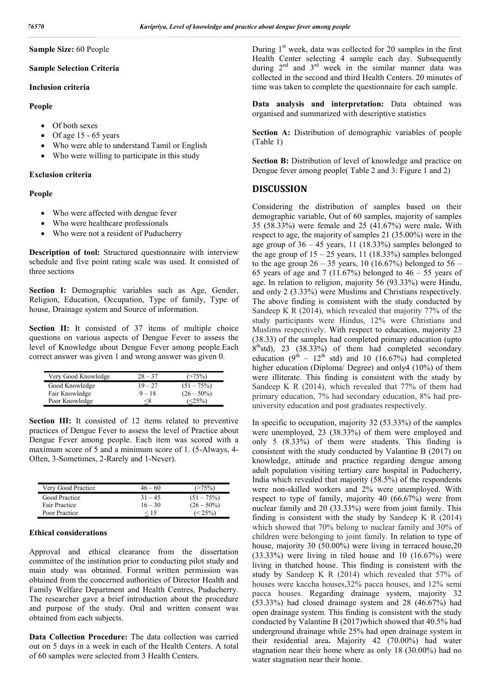#### **Sample Size:** 60 People

#### **Sample Selection Criteria**

#### **Inclusion criteria**

### **People**

- Of both sexes
- Of age  $15 65$  years
- Who were able to understand Tamil or English
- Who were willing to participate in this study

#### **Exclusion criteria**

## **People**

- Who were affected with dengue fever
- Who were healthcare professionals
- Who were not a resident of Puducherry

**Description of tool:** Structured questionnaire with interview schedule and five point rating scale was used. It consisted of three sections

Section I: Demographic variables such as Age, Gender, Religion, Education, Occupation, Type of family, Type of house, Drainage system and Source of information.

Section II: It consisted of 37 items of multiple choice questions on various aspects of Dengue Fever to assess the level of Knowledge about Dengue Fever among people.Each correct answer was given 1 and wrong answer was given 0.

| Very Good Knowledge | $28 - 37$ | (275%)        |
|---------------------|-----------|---------------|
| Good Knowledge      | $19 - 27$ | $(51 - 75%)$  |
| Fair Knowledge      | $9 - 18$  | $(26 - 50\%)$ |
| Poor Knowledge      | <δ        | (25%)         |

**Section III:** It consisted of 12 items related to preventive practices of Dengue Fever to assess the level of Practice about Dengue Fever among people. Each item was scored with a maximum score of 5 and a minimum score of 1. (5-Always, 4- Often, 3-Sometimes, 2-Rarely and 1-Never).

| Very Good Practice | $46 - 60$ |               |
|--------------------|-----------|---------------|
| Good Practice      | $31 - 45$ | $(51 - 75%)$  |
| Fair Practice      | $16 - 30$ | $(26 - 50\%)$ |
| Poor Practice      | < 15      | $\leq$ 25%)   |

#### **Ethical considerations**

Approval and ethical clearance from the dissertation committee of the institution prior to conducting pilot study and main study was obtained. Formal written permission was obtained from the concerned authorities of Director Health and Family Welfare Department and Health Centres, Puducherry. The researcher gave a brief introduction about the procedure and purpose of the study. Oral and written consent was obtained from each subjects.

**Data Collection Procedure:** The data collection was carried out on 5 days in a week in each of the Health Centers. A total of 60 samples were selected from 3 Health Centers.

During 1<sup>st</sup> week, data was collected for 20 samples in the first Health Center selecting 4 sample each day. Subsequently during  $2^{nd}$  and  $3^{rd}$  week in the similar manner data was collected in the second and third Health Centers. 20 minutes of time was taken to complete the questionnaire for each sample.

**Data analysis and interpretation:** Data obtained was organised and summarized with descriptive statistics

Section A: Distribution of demographic variables of people (Table 1)

**Section B:** Distribution of level of knowledge and practice on Dengue fever among people( Table 2 and 3: Figure 1 and 2)

## **DISCUSSION**

Considering the distribution of samples based on their demographic variable, Out of 60 samples, majority of samples 35 (58.33%) were female and 25 (41.67%) were male**.** With respect to age, the majority of samples 21 (35.00%) were in the age group of  $36 - 45$  years, 11 (18.33%) samples belonged to the age group of  $15 - 25$  years, 11 (18.33%) samples belonged to the age group  $26 - 35$  years, 10 (16.67%) belonged to  $56 -$ 65 years of age and 7 (11.67%) belonged to  $46 - 55$  years of age. In relation to religion, majority 56 (93.33%) were Hindu, and only 2 (3.33%) were Muslims and Christians respectively. The above finding is consistent with the study conducted by Sandeep K R (2014), which revealed that majority 77% of the study participants were Hindus, 12% were Christians and Muslims respectively. With respect to education, majority 23 (38.33) of the samples had completed primary education (upto  $8<sup>th</sup>$ std), 23 (38.33%) of them had completed secondary education  $(9^{th} - 12^{th}$  std) and 10 (16.67%) had completed higher education (Diploma/ Degree) and only4 (10%) of them were illiterate. This finding is consistent with the study by Sandeep K R (2014), which revealed that 77% of them had primary education, 7% had secondary education, 8% had preuniversity education and post graduates respectively.

In specific to occupation, majority 32 (53.33%) of the samples were unemployed, 23 (38.33%) of them were employed and only 5 (8.33%) of them were students. This finding is consistent with the study conducted by Valantine B (2017) on knowledge, attitude and practice regarding dengue among adult population visiting tertiary care hospital in Puducherry, India which revealed that majority (58.5%) of the respondents were non-skilled workers and 2% were unemployed. With respect to type of family, majority 40 (66.67%) were from nuclear family and 20 (33.33%) were from joint family. This finding is consistent with the study by Sandeep K R (2014) which showed that 70% belong to nuclear family and 30% of children were belonging to joint family. In relation to type of house, majority 30 (50.00%) were living in terraced house, 20 (33.33%) were living in tiled house and 10 (16.67%) were living in thatched house. This finding is consistent with the study by Sandeep K R (2014) which revealed that 57% of houses were kaccha houses,32% pacca houses, and 12% semi pacca houses. Regarding drainage system, majority 32 (53.33%) had closed drainage system and 28 (46.67%) had open drainage system. This finding is consistent with the study conducted by Valantine B (2017)which showed that 40.5% had underground drainage while 25% had open drainage system in their residential area**.** Majority 42 (70.00%) had water stagnation near their home where as only 18 (30.00%) had no water stagnation near their home.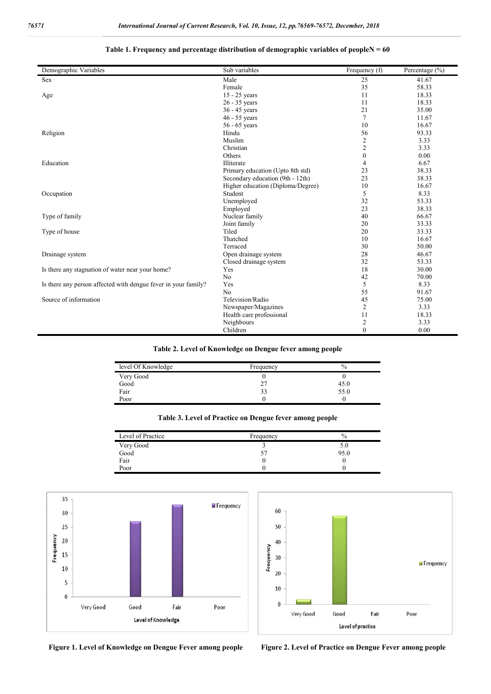# **Table 1. Frequency and percentage distribution of demographic variables of peopleN = 60**

| Demographic Variables                                          | Sub variables                     | Frequency (f)    | Percentage (%) |
|----------------------------------------------------------------|-----------------------------------|------------------|----------------|
| Sex                                                            | Male                              | 25               | 41.67          |
|                                                                | Female                            | 35               | 58.33          |
| Age                                                            | $15 - 25$ years                   | 11               | 18.33          |
|                                                                | $26 - 35$ years                   | 11               | 18.33          |
|                                                                | 36 - 45 years                     | 21               | 35.00          |
|                                                                | 46 - 55 years                     | $\overline{7}$   | 11.67          |
|                                                                | 56 - 65 years                     | 10               | 16.67          |
| Religion                                                       | Hindu                             | 56               | 93.33          |
|                                                                | Muslim                            | $\sqrt{2}$       | 3.33           |
|                                                                | Christian                         | $\overline{2}$   | 3.33           |
|                                                                | Others                            | $\boldsymbol{0}$ | 0.00           |
| Education                                                      | Illiterate                        | $\overline{4}$   | 6.67           |
|                                                                | Primary education (Upto 8th std)  | 23               | 38.33          |
|                                                                | Secondary education (9th - 12th)  | 23               | 38.33          |
|                                                                | Higher education (Diploma/Degree) | 10               | 16.67          |
| Occupation                                                     | Student                           | 5                | 8.33           |
|                                                                | Unemployed                        | 32               | 53.33          |
|                                                                | Employed                          | 23               | 38.33          |
| Type of family                                                 | Nuclear family                    | 40               | 66.67          |
|                                                                | Joint family                      | 20               | 33.33          |
| Type of house                                                  | Tiled                             | 20               | 33.33          |
|                                                                | Thatched                          | 10               | 16.67          |
|                                                                | Terraced                          | 30               | 50.00          |
| Drainage system                                                | Open drainage system              | 28               | 46.67          |
|                                                                | Closed drainage system            | 32               | 53.33          |
| Is there any stagnation of water near your home?               | Yes                               | 18               | 30.00          |
|                                                                | No                                | 42               | 70.00          |
| Is there any person affected with dengue fever in your family? | Yes                               | 5                | 8.33           |
|                                                                | No                                | 55               | 91.67          |
| Source of information                                          | Television/Radio                  | 45               | 75.00          |
|                                                                | Newspaper/Magazines               | $\mathfrak{2}$   | 3.33           |
|                                                                | Health care professional          | 11               | 18.33          |
|                                                                | Neighbours                        | $\mathfrak{2}$   | 3.33           |
|                                                                | Children                          | $\mathbf{0}$     | 0.00           |

#### **Table 2. Level of Knowledge on Dengue fever among people**

| level Of Knowledge | Frequency | $\%$ |
|--------------------|-----------|------|
| Very Good          |           |      |
| Good               |           | 45.0 |
| Fair               | 33        | 55.0 |
| Poor               |           |      |

| Table 3. Level of Practice on Dengue fever among people |  |  |
|---------------------------------------------------------|--|--|
|---------------------------------------------------------|--|--|

| Level of Practice | Frequency | $\%$ |
|-------------------|-----------|------|
| Very Good         |           | 5.0  |
| Good              |           | 95.0 |
| Fair              |           |      |
| Poor              |           |      |





**Figure 1. Level of Knowledge on Dengue Fever among people Figure 2. Level of Practice on Dengue Fever among people**